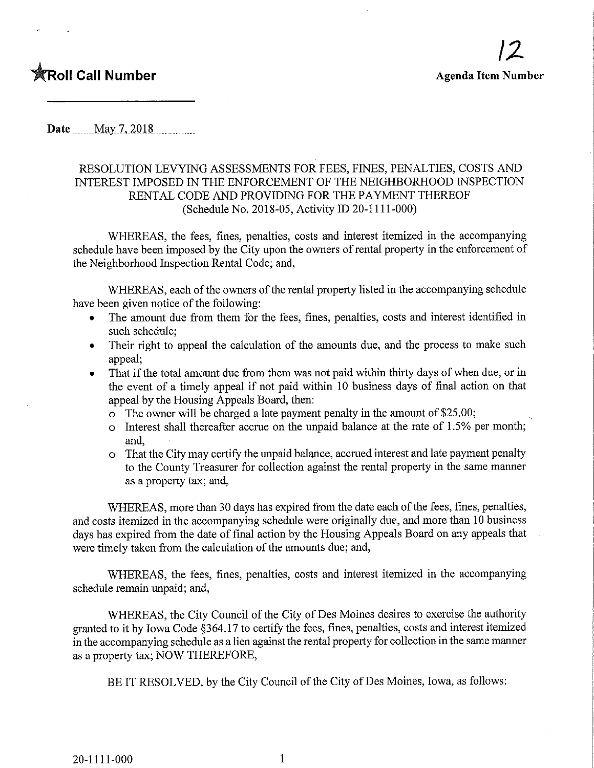## **The Call Number Agents Agents Agents Agents Agents Agents Agents Agents Agents Agents Agents Agents Agents Agents Agents Agents Agents Agents Agents Agents Agents Agents Agents Agents Agents Agents Agents Agents Agents Ag**

Date May 7, 2018

## RESOLUTION LEVYING ASSESSMENTS FOR FEES, FINES, PENALTIES, COSTS AND INTEREST IMPOSED IN THE ENFORCEMENT OF THE NEIGHBORHOOD INSPECTION RENTAL CODE AND PROVIDING FOR THE PAYMENT THEREOF (Schedule No. 2018-05, Activity ID 20-1111-000)

WHEREAS, the fees, fines, penalties, costs and interest itemized in the accompanying schedule have been imposed by the City upon the owners of rental property in the enforcement of the Neighborhood Inspection Rental Code; and,

WHEREAS, each of the owners of the rental property listed in the accompanying schedule have been given notice of the following:

- The amount due from them for the fees, fines, penalties, costs and interest identified in such schedule;
- Their right to appeal the calculation of the amounts due, and the process to make such appeal;
- That if the total amount due from them was not paid within thirty days of when due, or in the event of a timely appeal if not paid within 10 business days of final action on that appeal by the Housing Appeals Board, then:
	- o The owner will be charged a late payment penalty in the amount of \$25.00;
	- o Interest shall thereafter accrue on the unpaid balance at the rate of 1.5% per month; and,
	- o That the City may certify the unpaid balance, accmed interest and late payment penalty to the County Treasurer for collection against the rental property in the same manner as a property tax; and,

WHEREAS, more than 30 days has expired from the date each of the fees, fines, penalties, and costs itemized in the accompanying schedule were originally due, and more than 10 business days has expired from the date of final action by the Housing Appeals Board on any appeals that were timely taken from the calculation of the amounts due; and,

WHEREAS, the fees, fines, penalties, costs and interest itemized in the accompanying schedule remain unpaid; and,

WHEREAS, the City Council of the City of Des Moines desires to exercise the authority granted to it by Iowa Code §364.17 to certify the fees, fines, penalties, costs and interest itemized in the accompanying schedule as a lien against the rental property for collection in the same manner as a property tax; NOW THEREFORE,

BE IT RESOLVED, by the City Council of the City of Des Moines, Iowa, as follows: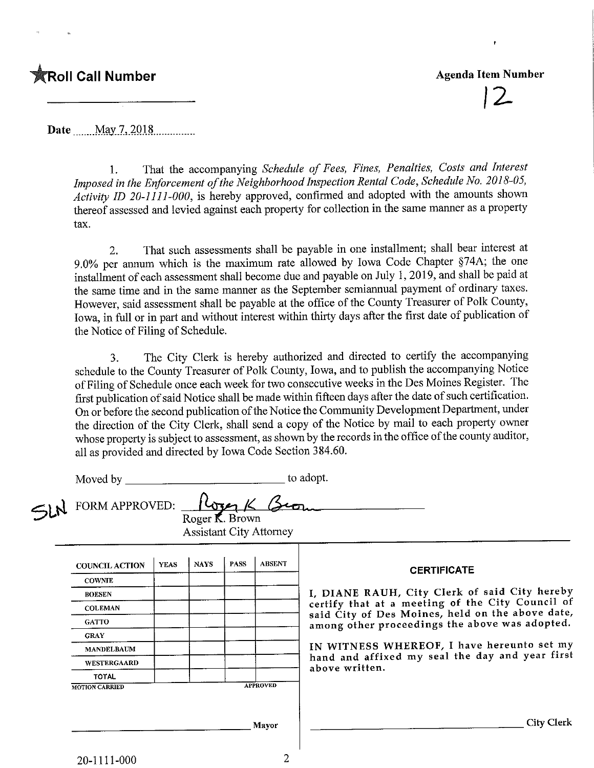## $\hat{\mathbb{X}}$ Roll Call Number

## Agenda Item Number

12.

Date.,...,May 7, 201.8

1. That the accompanying Schedule of Fees, Fines, Penalties, Costs and Interest Imposed in the Enforcement of the Neighborhood Inspection Rental Code, Schedule No. 2018-05, Activity ID 20-1111-000, is hereby approved, confirmed and adopted with the amounts shown thereof assessed and levied against each property for collection in the same manner as a property tax.

2. That such assessments shall be payable in one installment; shall bear interest at 9.0% per annum which is the maximum rate allowed by Iowa Code Chapter §74A; the one installment of each assessment shall become due and payable on July 1, 2019, and shall be paid at the same time and in the same manner as the September semiannual payment of ordinary taxes. However, said assessment shall be payable at the office of the County Treasurer of Polk County, Iowa, in full or in part and without interest within thirty days after the first date of publication of the Notice of Filing of Schedule.

3. The City Clerk is hereby authorized and directed to certify the accompanying schedule to the County Treasurer of Polk County, Iowa, and to publish the accompanying Notice of Filing of Schedule once each week for two consecutive weeks in the Des Moines Register, The first publication of said Notice shall be made within fifteen days after the date of such certification. On or before the second publication of the Notice the Community Development Department, under the direction of the City Clerk, shall send a copy of the Notice by mail to each property owner whose property is subject to assessment, as shown by the records in the office of the county auditor, all as provided and directed by Iowa Code Section 384.60.

| Moved by                                                           |                 |             |             |               | to adopt.                                                                                          |  |  |  |
|--------------------------------------------------------------------|-----------------|-------------|-------------|---------------|----------------------------------------------------------------------------------------------------|--|--|--|
| FORM APPROVED:<br>Roger K. Brown<br><b>Assistant City Attorney</b> |                 |             |             |               |                                                                                                    |  |  |  |
| <b>COUNCIL ACTION</b>                                              | <b>YEAS</b>     | <b>NAYS</b> | <b>PASS</b> | <b>ABSENT</b> | <b>CERTIFICATE</b>                                                                                 |  |  |  |
| <b>COWNIE</b>                                                      |                 |             |             |               |                                                                                                    |  |  |  |
| <b>BOLSEN</b>                                                      |                 |             |             |               | I, DIANE RAUH, City Clerk of said City hereby                                                      |  |  |  |
| <b>COLEMAN</b>                                                     |                 |             |             |               | certify that at a meeting of the City Council of                                                   |  |  |  |
| <b>GATTO</b>                                                       |                 |             |             |               | said City of Des Moines, held on the above date,<br>among other proceedings the above was adopted. |  |  |  |
| <b>GRAY</b>                                                        |                 |             |             |               |                                                                                                    |  |  |  |
| <b>MANDELBAUM</b>                                                  |                 |             |             |               | IN WITNESS WHEREOF, I have hereunto set my                                                         |  |  |  |
| WESTERGAARD                                                        |                 |             |             |               | hand and affixed my seal the day and year first<br>above written.                                  |  |  |  |
| <b>TOTAL</b>                                                       |                 |             |             |               |                                                                                                    |  |  |  |
| <b>MOTION CARRIED</b>                                              | <b>APPROVED</b> |             |             |               |                                                                                                    |  |  |  |
|                                                                    |                 |             |             | Mayor         | <b>City Clerk</b>                                                                                  |  |  |  |

 $\overline{2}$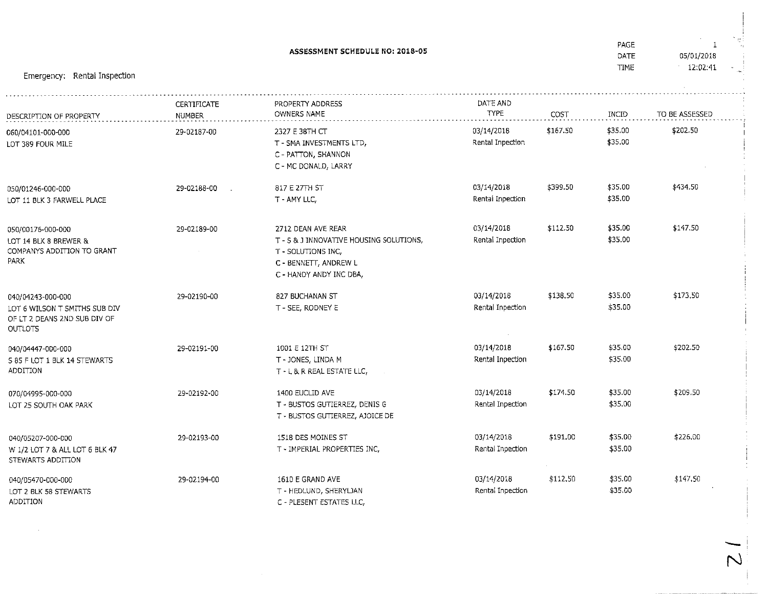|                                                                                                      | ASSESSMENT SCHEDULE NO: 2018-05     |                                                                                                                                         |                                |          |                    | 1<br>05/01/2018<br>12:02:41 |
|------------------------------------------------------------------------------------------------------|-------------------------------------|-----------------------------------------------------------------------------------------------------------------------------------------|--------------------------------|----------|--------------------|-----------------------------|
| Emergency: Rental Inspection                                                                         |                                     |                                                                                                                                         |                                |          |                    |                             |
| DESCRIPTION OF PROPERTY                                                                              | <b>CERTIFICATE</b><br><b>NUMBER</b> | PROPERTY ADDRESS<br>OWNERS NAME                                                                                                         | DATE AND<br>TYPE               | COST     | <b>INCID</b>       | TO BE ASSESSED              |
| 060/04101-000-000<br>LOT 389 FOUR MILE                                                               | 29-02187-00                         | 2327 E 38TH CT<br>T - SMA INVESTMENTS LTD,<br>C - PATTON, SHANNON<br>C - MC DONALD, LARRY                                               | 03/14/2018<br>Rental Inpection | \$167.50 | \$35.00<br>\$35.00 | \$202.50                    |
| 050/01246-000-000<br>LOT 11 BLK 3 FARWELL PLACE                                                      | 29-02188-00                         | 817 E 27TH ST<br>T - AMY LLC,                                                                                                           | 03/14/2018<br>Rental Inpection | \$399.50 | \$35.00<br>\$35.00 | \$434.50                    |
| 050/00176-000-000<br>LOT 14 BLK 8 BREWER &<br>COMPANYS ADDITION TO GRANT<br>PARK                     | 29-02189-00                         | 2712 DEAN AVE REAR<br>T - S & J INNOVATIVE HOUSING SOLUTIONS,<br>T - SOLUTIONS INC,<br>C - BENNETT, ANDREW L<br>C - HANDY ANDY INC DBA, | 03/14/2018<br>Rental Inpection | \$112.50 | \$35.00<br>\$35,00 | \$147.50                    |
| 040/04243-000-000<br>LOT 6 WILSON T SMITHS SUB DIV<br>OF LT 2 DEANS 2ND SUB DIV OF<br><b>OUTLOTS</b> | 29-02190-00                         | 827 BUCHANAN ST<br>T - SEE, RODNEY E                                                                                                    | 03/14/2018<br>Rental Inpection | \$138.50 | \$35.00<br>\$35.00 | \$173.50                    |
| 040/04447-000-000<br>S 85 F LOT 1 BLK 14 STEWARTS<br>ADDITION                                        | 29-02191-00                         | 1001 E 12TH ST<br>T - JONES, LINDA M<br>T - L & R REAL ESTATE LLC,                                                                      | 03/14/2018<br>Rental Inpection | \$167.50 | \$35.00<br>\$35.00 | \$202.50                    |
| 070/04995-000-000<br>LOT 25 SOUTH OAK PARK                                                           | 29-02192-00                         | 1400 EUCLID AVE<br>T - BUSTOS GUTIERREZ, DENIS G<br>T - BUSTOS GUTIERREZ, AJOICE DE                                                     | 03/14/2018<br>Rental Inpection | \$174.50 | \$35.00<br>\$35,00 | \$209.50                    |
| 040/05207-000-000<br>W 1/2 LOT 7 & ALL LOT 6 BLK 47<br>STEWARTS ADDITION                             | 29-02193-00                         | 1518 DES MOINES ST<br>T - IMPERIAL PROPERTIES INC,                                                                                      | 03/14/2018<br>Rental Inpection | \$191.00 | \$35.00<br>\$35.00 | \$226,00                    |
| 040/05470-000-000<br>LOT 2 BLK 58 STEWARTS<br>ADDITION                                               | 29-02194-00                         | 1610 E GRAND AVE<br>T - HEDLUND, SHERYLJAN<br>C - PLESENT ESTATES LLC,                                                                  | 03/14/2018<br>Rental Inpection | \$112,50 | \$35.00<br>\$35.00 | \$147,50                    |

N